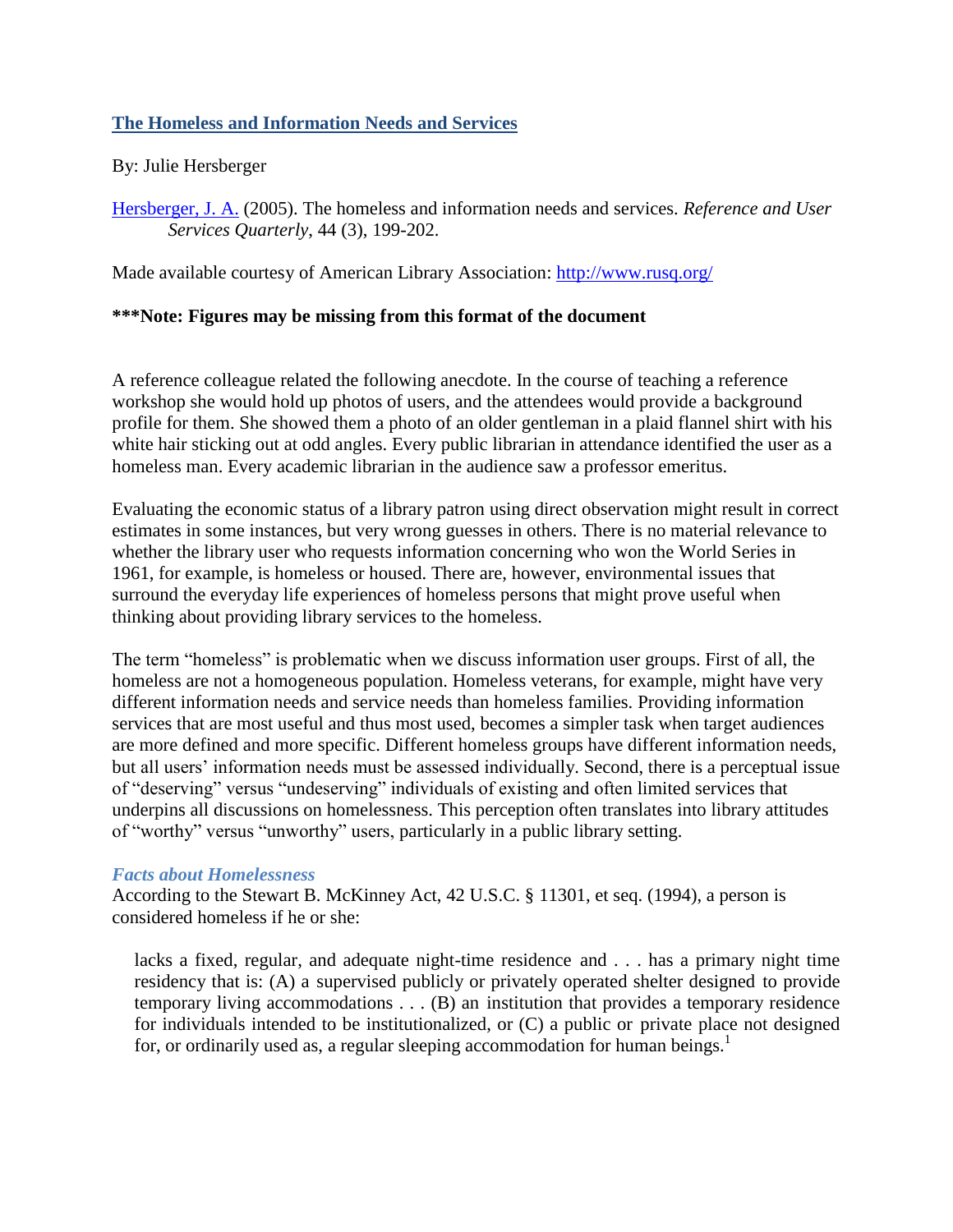## **The Homeless and Information Needs and Services**

### By: Julie Hersberger

[Hersberger, J. A.](http://libres.uncg.edu/ir/uncg/clist.aspx?id=1178) (2005). The homeless and information needs and services. *Reference and User Services Quarterly*, 44 (3), 199-202.

Made available courtesy of American Library Association:<http://www.rusq.org/>

### **\*\*\*Note: Figures may be missing from this format of the document**

A reference colleague related the following anecdote. In the course of teaching a reference workshop she would hold up photos of users, and the attendees would provide a background profile for them. She showed them a photo of an older gentleman in a plaid flannel shirt with his white hair sticking out at odd angles. Every public librarian in attendance identified the user as a homeless man. Every academic librarian in the audience saw a professor emeritus.

Evaluating the economic status of a library patron using direct observation might result in correct estimates in some instances, but very wrong guesses in others. There is no material relevance to whether the library user who requests information concerning who won the World Series in 1961, for example, is homeless or housed. There are, however, environmental issues that surround the everyday life experiences of homeless persons that might prove useful when thinking about providing library services to the homeless.

The term "homeless" is problematic when we discuss information user groups. First of all, the homeless are not a homogeneous population. Homeless veterans, for example, might have very different information needs and service needs than homeless families. Providing information services that are most useful and thus most used, becomes a simpler task when target audiences are more defined and more specific. Different homeless groups have different information needs, but all users' information needs must be assessed individually. Second, there is a perceptual issue of "deserving" versus "undeserving" individuals of existing and often limited services that underpins all discussions on homelessness. This perception often translates into library attitudes of "worthy" versus "unworthy" users, particularly in a public library setting.

#### *Facts about Homelessness*

According to the Stewart B. McKinney Act, 42 U.S.C. § 11301, et seq. (1994), a person is considered homeless if he or she:

lacks a fixed, regular, and adequate night-time residence and . . . has a primary night time residency that is: (A) a supervised publicly or privately operated shelter designed to provide temporary living accommodations . . . (B) an institution that provides a temporary residence for individuals intended to be institutionalized, or (C) a public or private place not designed for, or ordinarily used as, a regular sleeping accommodation for human beings.<sup>1</sup>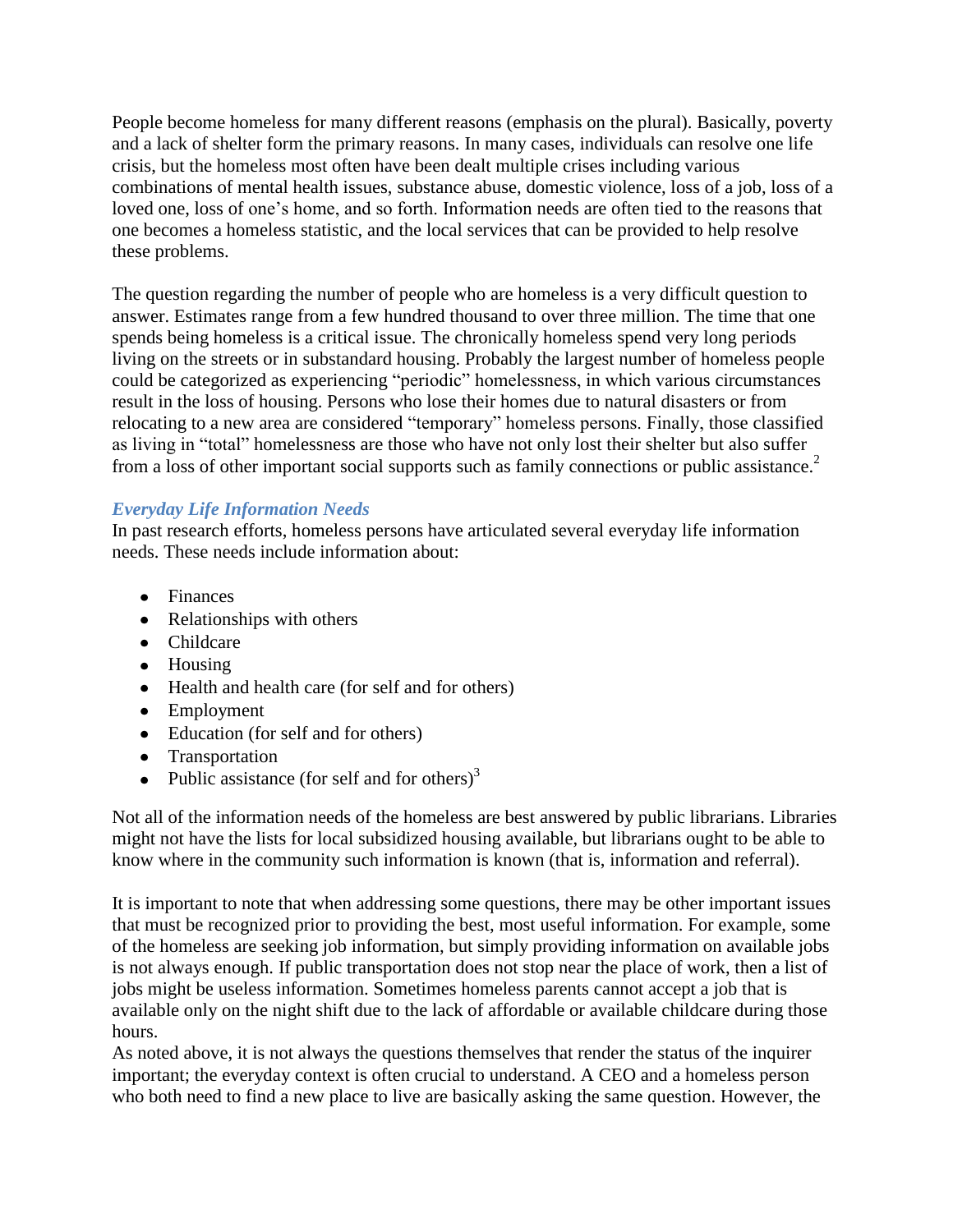People become homeless for many different reasons (emphasis on the plural). Basically, poverty and a lack of shelter form the primary reasons. In many cases, individuals can resolve one life crisis, but the homeless most often have been dealt multiple crises including various combinations of mental health issues, substance abuse, domestic violence, loss of a job, loss of a loved one, loss of one's home, and so forth. Information needs are often tied to the reasons that one becomes a homeless statistic, and the local services that can be provided to help resolve these problems.

The question regarding the number of people who are homeless is a very difficult question to answer. Estimates range from a few hundred thousand to over three million. The time that one spends being homeless is a critical issue. The chronically homeless spend very long periods living on the streets or in substandard housing. Probably the largest number of homeless people could be categorized as experiencing "periodic" homelessness, in which various circumstances result in the loss of housing. Persons who lose their homes due to natural disasters or from relocating to a new area are considered "temporary" homeless persons. Finally, those classified as living in "total" homelessness are those who have not only lost their shelter but also suffer from a loss of other important social supports such as family connections or public assistance.<sup>2</sup>

# *Everyday Life Information Needs*

In past research efforts, homeless persons have articulated several everyday life information needs. These needs include information about:

- Finances
- Relationships with others
- Childcare
- Housing
- Health and health care (for self and for others)
- Employment
- Education (for self and for others)
- Transportation
- Public assistance (for self and for others)<sup>3</sup>

Not all of the information needs of the homeless are best answered by public librarians. Libraries might not have the lists for local subsidized housing available, but librarians ought to be able to know where in the community such information is known (that is, information and referral).

It is important to note that when addressing some questions, there may be other important issues that must be recognized prior to providing the best, most useful information. For example, some of the homeless are seeking job information, but simply providing information on available jobs is not always enough. If public transportation does not stop near the place of work, then a list of jobs might be useless information. Sometimes homeless parents cannot accept a job that is available only on the night shift due to the lack of affordable or available childcare during those hours.

As noted above, it is not always the questions themselves that render the status of the inquirer important; the everyday context is often crucial to understand. A CEO and a homeless person who both need to find a new place to live are basically asking the same question. However, the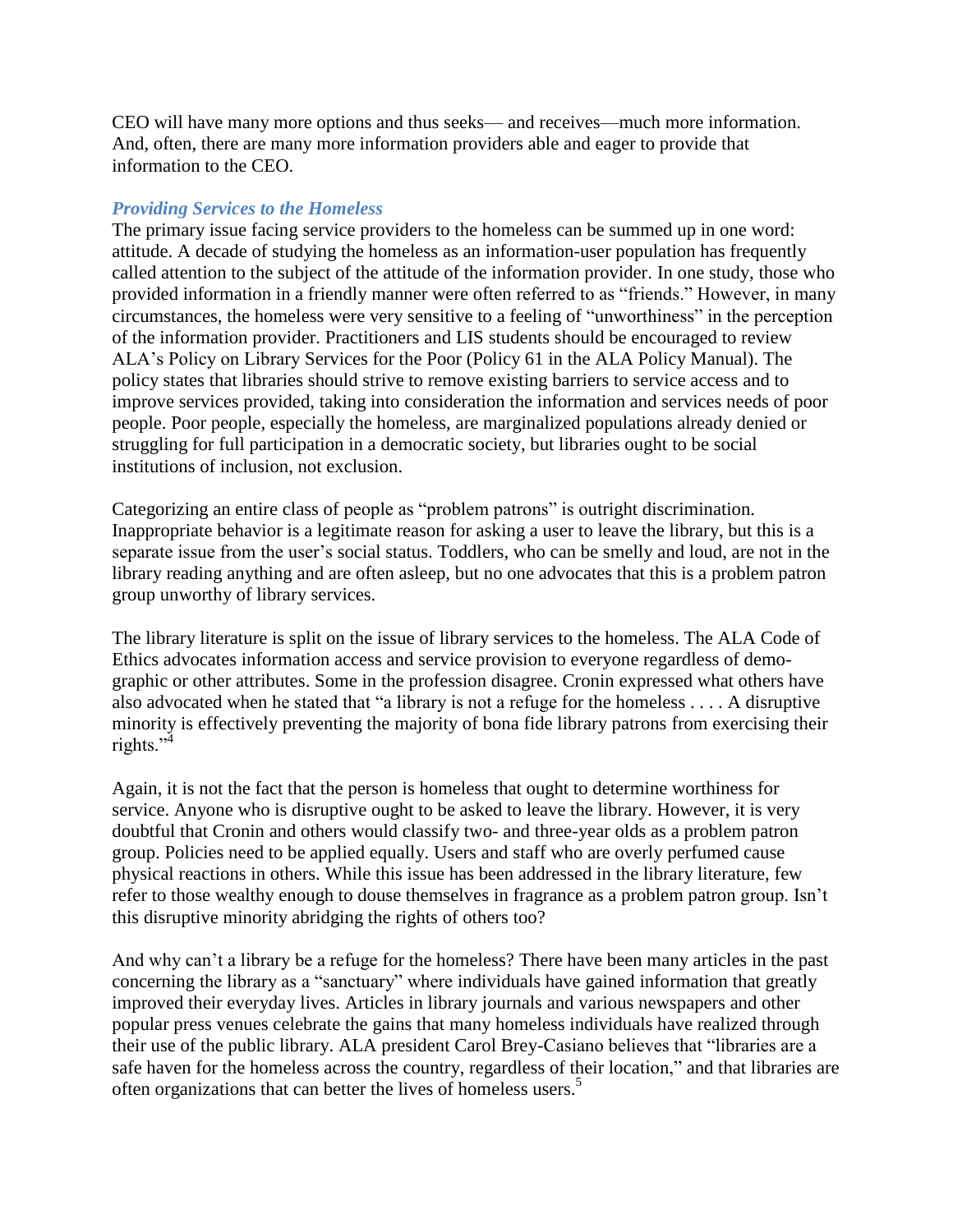CEO will have many more options and thus seeks— and receives—much more information. And, often, there are many more information providers able and eager to provide that information to the CEO.

### *Providing Services to the Homeless*

The primary issue facing service providers to the homeless can be summed up in one word: attitude. A decade of studying the homeless as an information-user population has frequently called attention to the subject of the attitude of the information provider. In one study, those who provided information in a friendly manner were often referred to as "friends." However, in many circumstances, the homeless were very sensitive to a feeling of "unworthiness" in the perception of the information provider. Practitioners and LIS students should be encouraged to review ALA's Policy on Library Services for the Poor (Policy 61 in the ALA Policy Manual). The policy states that libraries should strive to remove existing barriers to service access and to improve services provided, taking into consideration the information and services needs of poor people. Poor people, especially the homeless, are marginalized populations already denied or struggling for full participation in a democratic society, but libraries ought to be social institutions of inclusion, not exclusion.

Categorizing an entire class of people as "problem patrons" is outright discrimination. Inappropriate behavior is a legitimate reason for asking a user to leave the library, but this is a separate issue from the user's social status. Toddlers, who can be smelly and loud, are not in the library reading anything and are often asleep, but no one advocates that this is a problem patron group unworthy of library services.

The library literature is split on the issue of library services to the homeless. The ALA Code of Ethics advocates information access and service provision to everyone regardless of demographic or other attributes. Some in the profession disagree. Cronin expressed what others have also advocated when he stated that "a library is not a refuge for the homeless  $\dots$ . A disruptive minority is effectively preventing the majority of bona fide library patrons from exercising their rights." $4$ 

Again, it is not the fact that the person is homeless that ought to determine worthiness for service. Anyone who is disruptive ought to be asked to leave the library. However, it is very doubtful that Cronin and others would classify two- and three-year olds as a problem patron group. Policies need to be applied equally. Users and staff who are overly perfumed cause physical reactions in others. While this issue has been addressed in the library literature, few refer to those wealthy enough to douse themselves in fragrance as a problem patron group. Isn't this disruptive minority abridging the rights of others too?

And why can't a library be a refuge for the homeless? There have been many articles in the past concerning the library as a "sanctuary" where individuals have gained information that greatly improved their everyday lives. Articles in library journals and various newspapers and other popular press venues celebrate the gains that many homeless individuals have realized through their use of the public library. ALA president Carol Brey-Casiano believes that "libraries are a safe haven for the homeless across the country, regardless of their location," and that libraries are often organizations that can better the lives of homeless users.<sup>5</sup>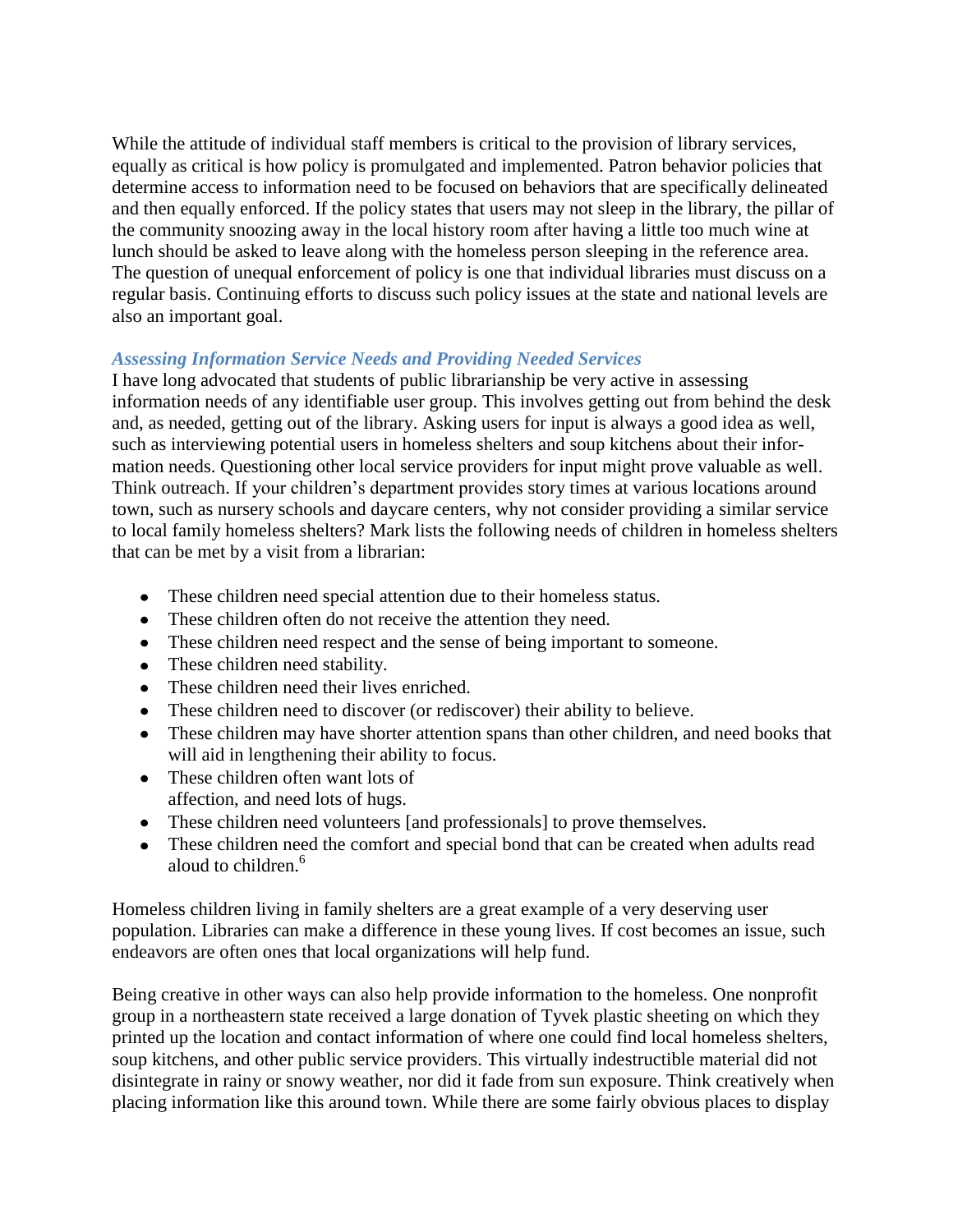While the attitude of individual staff members is critical to the provision of library services, equally as critical is how policy is promulgated and implemented. Patron behavior policies that determine access to information need to be focused on behaviors that are specifically delineated and then equally enforced. If the policy states that users may not sleep in the library, the pillar of the community snoozing away in the local history room after having a little too much wine at lunch should be asked to leave along with the homeless person sleeping in the reference area. The question of unequal enforcement of policy is one that individual libraries must discuss on a regular basis. Continuing efforts to discuss such policy issues at the state and national levels are also an important goal.

### *Assessing Information Service Needs and Providing Needed Services*

I have long advocated that students of public librarianship be very active in assessing information needs of any identifiable user group. This involves getting out from behind the desk and, as needed, getting out of the library. Asking users for input is always a good idea as well, such as interviewing potential users in homeless shelters and soup kitchens about their information needs. Questioning other local service providers for input might prove valuable as well. Think outreach. If your children's department provides story times at various locations around town, such as nursery schools and daycare centers, why not consider providing a similar service to local family homeless shelters? Mark lists the following needs of children in homeless shelters that can be met by a visit from a librarian:

- These children need special attention due to their homeless status.
- These children often do not receive the attention they need.
- These children need respect and the sense of being important to someone.
- These children need stability.
- These children need their lives enriched.
- These children need to discover (or rediscover) their ability to believe.
- These children may have shorter attention spans than other children, and need books that will aid in lengthening their ability to focus.
- These children often want lots of affection, and need lots of hugs.
- These children need volunteers [and professionals] to prove themselves.
- These children need the comfort and special bond that can be created when adults read aloud to children.<sup>6</sup>

Homeless children living in family shelters are a great example of a very deserving user population. Libraries can make a difference in these young lives. If cost becomes an issue, such endeavors are often ones that local organizations will help fund.

Being creative in other ways can also help provide information to the homeless. One nonprofit group in a northeastern state received a large donation of Tyvek plastic sheeting on which they printed up the location and contact information of where one could find local homeless shelters, soup kitchens, and other public service providers. This virtually indestructible material did not disintegrate in rainy or snowy weather, nor did it fade from sun exposure. Think creatively when placing information like this around town. While there are some fairly obvious places to display